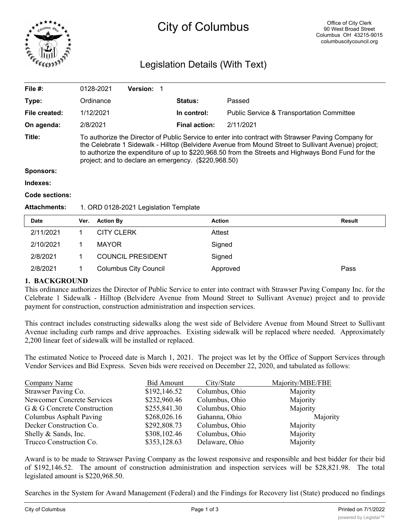

# City of Columbus

# Legislation Details (With Text)

| File $#$ :          | 0128-2021                                                                                                                                                                                                                                                                                                                                                                 | <b>Version:</b> |                      |                                                      |  |  |
|---------------------|---------------------------------------------------------------------------------------------------------------------------------------------------------------------------------------------------------------------------------------------------------------------------------------------------------------------------------------------------------------------------|-----------------|----------------------|------------------------------------------------------|--|--|
| Type:               | Ordinance                                                                                                                                                                                                                                                                                                                                                                 |                 | <b>Status:</b>       | Passed                                               |  |  |
| File created:       | 1/12/2021                                                                                                                                                                                                                                                                                                                                                                 |                 | In control:          | <b>Public Service &amp; Transportation Committee</b> |  |  |
| On agenda:          | 2/8/2021                                                                                                                                                                                                                                                                                                                                                                  |                 | <b>Final action:</b> | 2/11/2021                                            |  |  |
| Title:              | To authorize the Director of Public Service to enter into contract with Strawser Paving Company for<br>the Celebrate 1 Sidewalk - Hilltop (Belvidere Avenue from Mound Street to Sullivant Avenue) project;<br>to authorize the expenditure of up to \$220,968.50 from the Streets and Highways Bond Fund for the<br>project; and to declare an emergency. (\$220,968.50) |                 |                      |                                                      |  |  |
| <b>Sponsors:</b>    |                                                                                                                                                                                                                                                                                                                                                                           |                 |                      |                                                      |  |  |
| Indexes:            |                                                                                                                                                                                                                                                                                                                                                                           |                 |                      |                                                      |  |  |
| Code sections:      |                                                                                                                                                                                                                                                                                                                                                                           |                 |                      |                                                      |  |  |
| <b>Attachments:</b> | 1. ORD 0128-2021 Legislation Template                                                                                                                                                                                                                                                                                                                                     |                 |                      |                                                      |  |  |

| <b>Date</b> | Ver. | <b>Action By</b>             | <b>Action</b> | Result |
|-------------|------|------------------------------|---------------|--------|
| 2/11/2021   |      | <b>CITY CLERK</b>            | Attest        |        |
| 2/10/2021   |      | <b>MAYOR</b>                 | Signed        |        |
| 2/8/2021    |      | <b>COUNCIL PRESIDENT</b>     | Signed        |        |
| 2/8/2021    |      | <b>Columbus City Council</b> | Approved      | Pass   |

# **1. BACKGROUND**

This ordinance authorizes the Director of Public Service to enter into contract with Strawser Paving Company Inc. for the Celebrate 1 Sidewalk - Hilltop (Belvidere Avenue from Mound Street to Sullivant Avenue) project and to provide payment for construction, construction administration and inspection services.

This contract includes constructing sidewalks along the west side of Belvidere Avenue from Mound Street to Sullivant Avenue including curb ramps and drive approaches. Existing sidewalk will be replaced where needed. Approximately 2,200 linear feet of sidewalk will be installed or replaced.

The estimated Notice to Proceed date is March 1, 2021. The project was let by the Office of Support Services through Vendor Services and Bid Express. Seven bids were received on December 22, 2020, and tabulated as follows:

| <b>Company Name</b>         | <b>Bid Amount</b> | City/State     | Majority/MBE/FBE |
|-----------------------------|-------------------|----------------|------------------|
| Strawser Paving Co.         | \$192,146.52      | Columbus, Ohio | Majority         |
| Newcomer Concrete Services  | \$232,960.46      | Columbus, Ohio | Majority         |
| G & G Concrete Construction | \$255,841.30      | Columbus, Ohio | Majority         |
| Columbus Asphalt Paving     | \$268,026.16      | Gahanna, Ohio  | Majority         |
| Decker Construction Co.     | \$292,808.73      | Columbus, Ohio | Majority         |
| Shelly & Sands, Inc.        | \$308,102.46      | Columbus, Ohio | Majority         |
| Trucco Construction Co.     | \$353,128.63      | Delaware, Ohio | Majority         |

Award is to be made to Strawser Paving Company as the lowest responsive and responsible and best bidder for their bid of \$192,146.52. The amount of construction administration and inspection services will be \$28,821.98. The total legislated amount is \$220,968.50.

Searches in the System for Award Management (Federal) and the Findings for Recovery list (State) produced no findings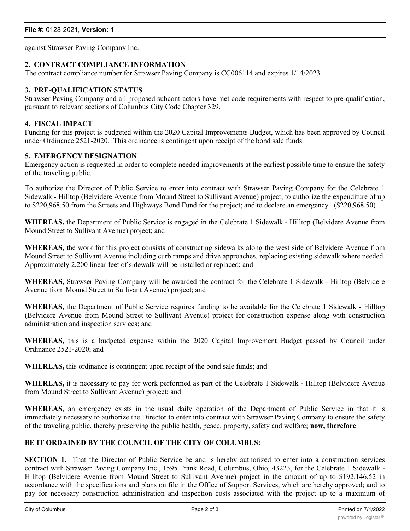against Strawser Paving Company Inc.

# **2. CONTRACT COMPLIANCE INFORMATION**

The contract compliance number for Strawser Paving Company is CC006114 and expires 1/14/2023.

## **3. PRE-QUALIFICATION STATUS**

Strawser Paving Company and all proposed subcontractors have met code requirements with respect to pre-qualification, pursuant to relevant sections of Columbus City Code Chapter 329.

#### **4. FISCAL IMPACT**

Funding for this project is budgeted within the 2020 Capital Improvements Budget, which has been approved by Council under Ordinance 2521-2020. This ordinance is contingent upon receipt of the bond sale funds.

#### **5. EMERGENCY DESIGNATION**

Emergency action is requested in order to complete needed improvements at the earliest possible time to ensure the safety of the traveling public.

To authorize the Director of Public Service to enter into contract with Strawser Paving Company for the Celebrate 1 Sidewalk - Hilltop (Belvidere Avenue from Mound Street to Sullivant Avenue) project; to authorize the expenditure of up to \$220,968.50 from the Streets and Highways Bond Fund for the project; and to declare an emergency. (\$220,968.50)

**WHEREAS,** the Department of Public Service is engaged in the Celebrate 1 Sidewalk - Hilltop (Belvidere Avenue from Mound Street to Sullivant Avenue) project; and

**WHEREAS,** the work for this project consists of constructing sidewalks along the west side of Belvidere Avenue from Mound Street to Sullivant Avenue including curb ramps and drive approaches, replacing existing sidewalk where needed. Approximately 2,200 linear feet of sidewalk will be installed or replaced; and

**WHEREAS,** Strawser Paving Company will be awarded the contract for the Celebrate 1 Sidewalk - Hilltop (Belvidere Avenue from Mound Street to Sullivant Avenue) project; and

**WHEREAS,** the Department of Public Service requires funding to be available for the Celebrate 1 Sidewalk - Hilltop (Belvidere Avenue from Mound Street to Sullivant Avenue) project for construction expense along with construction administration and inspection services; and

**WHEREAS,** this is a budgeted expense within the 2020 Capital Improvement Budget passed by Council under Ordinance 2521-2020; and

**WHEREAS,** this ordinance is contingent upon receipt of the bond sale funds; and

**WHEREAS,** it is necessary to pay for work performed as part of the Celebrate 1 Sidewalk - Hilltop (Belvidere Avenue from Mound Street to Sullivant Avenue) project; and

**WHEREAS**, an emergency exists in the usual daily operation of the Department of Public Service in that it is immediately necessary to authorize the Director to enter into contract with Strawser Paving Company to ensure the safety of the traveling public, thereby preserving the public health, peace, property, safety and welfare; **now, therefore**

### **BE IT ORDAINED BY THE COUNCIL OF THE CITY OF COLUMBUS:**

**SECTION 1.** That the Director of Public Service be and is hereby authorized to enter into a construction services contract with Strawser Paving Company Inc., 1595 Frank Road, Columbus, Ohio, 43223, for the Celebrate 1 Sidewalk - Hilltop (Belvidere Avenue from Mound Street to Sullivant Avenue) project in the amount of up to \$192,146.52 in accordance with the specifications and plans on file in the Office of Support Services, which are hereby approved; and to pay for necessary construction administration and inspection costs associated with the project up to a maximum of